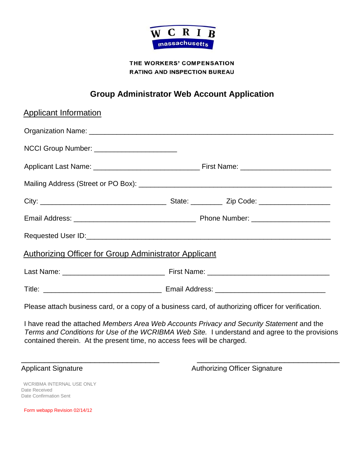

# THE WORKERS' COMPENSATION **RATING AND INSPECTION BUREAU**

# **Group Administrator Web Account Application**

| <b>Applicant Information</b>                                                                        |  |  |
|-----------------------------------------------------------------------------------------------------|--|--|
|                                                                                                     |  |  |
| NCCI Group Number: __________________________                                                       |  |  |
|                                                                                                     |  |  |
|                                                                                                     |  |  |
|                                                                                                     |  |  |
|                                                                                                     |  |  |
|                                                                                                     |  |  |
| <b>Authorizing Officer for Group Administrator Applicant</b>                                        |  |  |
|                                                                                                     |  |  |
|                                                                                                     |  |  |
| Please attach business card, or a copy of a business card, of authorizing officer for verification. |  |  |

I have read the attached *Members Area Web Accounts Privacy and Security Statement* and the *Terms and Conditions for Use of the WCRIBMA Web Site.* I understand and agree to the provisions contained therein. At the present time, no access fees will be charged.

\_\_\_\_\_\_\_\_\_\_\_\_\_\_\_\_\_\_\_\_\_\_\_\_\_\_\_\_\_\_ \_\_\_\_\_\_\_\_\_\_\_\_\_\_\_\_\_\_\_\_\_\_\_\_\_\_\_\_\_\_\_

Applicant Signature Authorizing Officer Signature

WCRIBMA INTERNAL USE ONLY Date Received Date Confirmation Sent

Form webapp Revision 02/14/12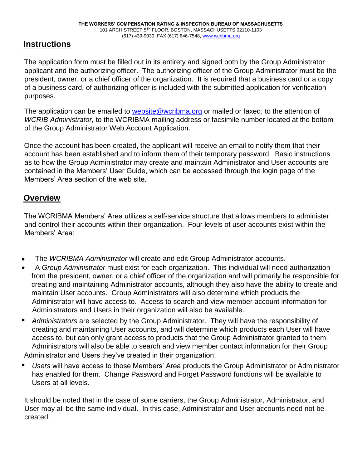# **Instructions**

The application form must be filled out in its entirety and signed both by the Group Administrator applicant and the authorizing officer. The authorizing officer of the Group Administrator must be the president, owner, or a chief officer of the organization. It is required that a business card or a copy of a business card, of authorizing officer is included with the submitted application for verification purposes.

The application can be emailed to website@wcribma.org or mailed or faxed, to the attention of *WCRIB Administrator,* to the WCRIBMA mailing address or facsimile number located at the bottom of the Group Administrator Web Account Application.

Once the account has been created, the applicant will receive an email to notify them that their account has been established and to inform them of their temporary password. Basic instructions as to how the Group Administrator may create and maintain Administrator and User accounts are contained in the Members' User Guide, which can be accessed through the login page of the Members' Area section of the web site.

# **Overview**

The WCRIBMA Members' Area utilizes a self-service structure that allows members to administer and control their accounts within their organization. Four levels of user accounts exist within the Members' Area:

- The *WCRIBMA Administrator* will create and edit Group Administrator accounts.  $\bullet$
- A *Group Administrator* must exist for each organization. This individual will need authorization from the president, owner, or a chief officer of the organization and will primarily be responsible for creating and maintaining Administrator accounts, although they also have the ability to create and maintain User accounts. Group Administrators will also determine which products the Administrator will have access to. Access to search and view member account information for Administrators and Users in their organization will also be available.
- ۰ *Administrators* are selected by the Group Administrator. They will have the responsibility of creating and maintaining User accounts, and will determine which products each User will have access to, but can only grant access to products that the Group Administrator granted to them. Administrators will also be able to search and view member contact information for their Group Administrator and Users they've created in their organization.
- *Users* will have access to those Members' Area products the Group Administrator or Administrator ۰ has enabled for them. Change Password and Forget Password functions will be available to Users at all levels.

It should be noted that in the case of some carriers, the Group Administrator, Administrator, and User may all be the same individual. In this case, Administrator and User accounts need not be created.